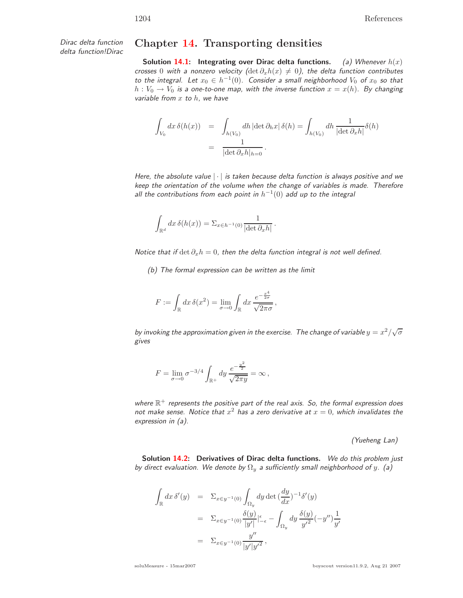Dirac delta function

## delta function!Dirac **Chapter 14. Transporting densities**

**Solution 14.1:** Integrating over Dirac delta functions. (a) Whenever  $h(x)$ crosses 0 with a nonzero velocity ( $\det \partial_x h(x) \neq 0$ ), the delta function contributes to the integral. Let  $x_0 \in h^{-1}(0)$ . Consider a small neighborhood  $V_0$  of  $x_0$  so that  $h: V_0 \to V_0$  is a one-to-one map, with the inverse function  $x = x(h)$ . By changing variable from  $x$  to  $h$ , we have

$$
\int_{V_0} dx \, \delta(h(x)) = \int_{h(V_0)} dh \, |\det \partial_h x| \, \delta(h) = \int_{h(V_0)} dh \, \frac{1}{|\det \partial_x h|} \delta(h)
$$
\n
$$
= \frac{1}{|\det \partial_x h|_{h=0}}.
$$

Here, the absolute value  $|\cdot|$  is taken because delta function is always positive and we keep the orientation of the volume when the change of variables is made. Therefore all the contributions from each point in  $h^{-1}(0)$  add up to the integral

$$
\int_{\mathbb{R}^d} dx \, \delta(h(x)) = \Sigma_{x \in h^{-1}(0)} \frac{1}{|\det \partial_x h|} \, .
$$

Notice that if  $\det \partial_x h = 0$ , then the delta function integral is not well defined.

(b) The formal expression can be written as the limit

$$
F := \int_{\mathbb{R}} dx \, \delta(x^2) = \lim_{\sigma \to 0} \int_{\mathbb{R}} dx \, \frac{e^{-\frac{x^4}{2\sigma}}}{\sqrt{2\pi\sigma}},
$$

by invoking the approximation given in the exercise. The change of variable  $y=x^2/\sqrt{\sigma}$ gives

$$
F = \lim_{\sigma \to 0} \sigma^{-3/4} \int_{\mathbb{R}^+} dy \, \frac{e^{-\frac{y^2}{2}}}{\sqrt{2\pi y}} = \infty \,,
$$

where  $\mathbb{R}^+$  represents the positive part of the real axis. So, the formal expression does not make sense. Notice that  $x^2$  has a zero derivative at  $x = 0$ , which invalidates the expression in (a).

(Yueheng Lan)

**Solution 14.2: Derivatives of Dirac delta functions.** We do this problem just by direct evaluation. We denote by  $\Omega_y$  a sufficiently small neighborhood of y. (a)

$$
\int_{\mathbb{R}} dx \, \delta'(y) = \sum_{x \in y^{-1}(0)} \int_{\Omega_y} dy \, \det \left( \frac{dy}{dx} \right)^{-1} \delta'(y)
$$
\n
$$
= \sum_{x \in y^{-1}(0)} \frac{\delta(y)}{|y'|} \Big|_{-\epsilon}^{\epsilon} - \int_{\Omega_y} dy \, \frac{\delta(y)}{y'^2} (-y'') \frac{1}{y'}
$$
\n
$$
= \sum_{x \in y^{-1}(0)} \frac{y''}{|y'|y'^2},
$$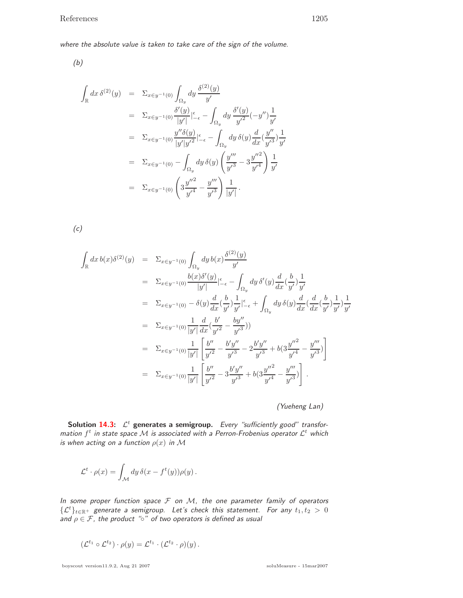where the absolute value is taken to take care of the sign of the volume.

(b)

$$
\int_{\mathbb{R}} dx \, \delta^{(2)}(y) = \Sigma_{x \in y^{-1}(0)} \int_{\Omega_y} dy \, \frac{\delta^{(2)}(y)}{y'}
$$
\n
$$
= \Sigma_{x \in y^{-1}(0)} \frac{\delta'(y)}{|y'|} \Big|_{-\epsilon}^{\epsilon} - \int_{\Omega_y} dy \, \frac{\delta'(y)}{y'^2} (-y'') \frac{1}{y'}
$$
\n
$$
= \Sigma_{x \in y^{-1}(0)} \frac{y'' \delta(y)}{|y'|y'^2} \Big|_{-\epsilon}^{\epsilon} - \int_{\Omega_y} dy \, \delta(y) \frac{d}{dx} (\frac{y''}{y'^3}) \frac{1}{y'}
$$
\n
$$
= \Sigma_{x \in y^{-1}(0)} - \int_{\Omega_y} dy \, \delta(y) \left( \frac{y'''}{y'^3} - 3 \frac{y''^2}{y'^4} \right) \frac{1}{y'}
$$
\n
$$
= \Sigma_{x \in y^{-1}(0)} \left( 3 \frac{y''^2}{y'^4} - \frac{y'''}{y'^3} \right) \frac{1}{|y'|}.
$$

 $(c)$ 

$$
\int_{\mathbb{R}} dx \, b(x) \delta^{(2)}(y) = \Sigma_{x \in y^{-1}(0)} \int_{\Omega_y} dy \, b(x) \frac{\delta^{(2)}(y)}{y'} \n= \Sigma_{x \in y^{-1}(0)} \frac{b(x) \delta'(y)}{|y'|} \Big|_{-\epsilon}^{\epsilon} - \int_{\Omega_y} dy \, \delta'(y) \frac{d}{dx} \Big(\frac{b}{y'}\Big) \frac{1}{y'} \n= \Sigma_{x \in y^{-1}(0)} - \delta(y) \frac{d}{dx} \Big(\frac{b}{y'}\Big) \frac{1}{y'} \Big|_{-\epsilon}^{\epsilon} + \int_{\Omega_y} dy \, \delta(y) \frac{d}{dx} \Big(\frac{d}{dx} \Big(\frac{b}{y'}\Big) \frac{1}{y'}\Big) \frac{1}{y'} \n= \Sigma_{x \in y^{-1}(0)} \frac{1}{|y'|} \frac{d}{dx} \Big(\frac{b'}{y'^2} - \frac{by''}{y'^3}\Big)) \n= \Sigma_{x \in y^{-1}(0)} \frac{1}{|y'|} \Bigg[ \frac{b''}{y'^2} - \frac{b'y''}{y'^3} - 2 \frac{b'y''}{y'^3} + b(3 \frac{y''^2}{y'^4} - \frac{y'''}{y'^3}) \Bigg] \n= \Sigma_{x \in y^{-1}(0)} \frac{1}{|y'|} \Bigg[ \frac{b''}{y'^2} - 3 \frac{b'y''}{y'^3} + b(3 \frac{y''^2}{y'^4} - \frac{y'''}{y'^3}) \Bigg] .
$$

(Yueheng Lan)

**Solution 14.3:**  $\mathcal{L}^t$  generates a semigroup. Every "sufficiently good" transformation  $f^t$  in state space  ${\cal M}$  is associated with a Perron-Frobenius operator  ${\cal L}^t$  which is when acting on a function  $\rho(x)$  in M

$$
\mathcal{L}^t \cdot \rho(x) = \int_{\mathcal{M}} dy \, \delta(x - f^t(y)) \rho(y) \, .
$$

In some proper function space  $\mathcal F$  on  $\mathcal M$ , the one parameter family of operators  $\{\mathcal{L}^t\}_{t\in\mathbb{R}^+}$  generate a semigroup. Let's check this statement. For any  $t_1,t_2\,>\,0$ and  $\rho \in \mathcal{F}$ , the product " $\circ$ " of two operators is defined as usual

$$
(\mathcal{L}^{t_1} \circ \mathcal{L}^{t_2}) \cdot \rho(y) = \mathcal{L}^{t_1} \cdot (\mathcal{L}^{t_2} \cdot \rho)(y).
$$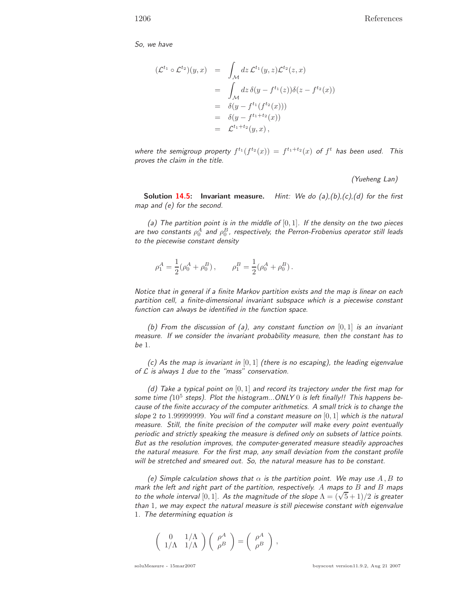So, we have

$$
(\mathcal{L}^{t_1} \circ \mathcal{L}^{t_2})(y, x) = \int_{\mathcal{M}} dz \, \mathcal{L}^{t_1}(y, z) \mathcal{L}^{t_2}(z, x)
$$
  
\n
$$
= \int_{\mathcal{M}} dz \, \delta(y - f^{t_1}(z)) \delta(z - f^{t_2}(x))
$$
  
\n
$$
= \delta(y - f^{t_1}(f^{t_2}(x)))
$$
  
\n
$$
= \delta(y - f^{t_1+t_2}(x))
$$
  
\n
$$
= \mathcal{L}^{t_1+t_2}(y, x),
$$

where the semigroup property  $f^{t_1}(f^{t_2}(x)) = f^{t_1+t_2}(x)$  of  $f^t$  has been used. This proves the claim in the title.

(Yueheng Lan)

**Solution 14.5: Invariant measure.** Hint: We do (a),(b),(c),(d) for the first map and (e) for the second.

(a) The partition point is in the middle of  $[0,1]$ . If the density on the two pieces are two constants  $\rho^A_0$  and  $\rho^B_0$ , respectively, the Perron-Frobenius operator still leads to the piecewise constant density

$$
\rho_1^A = \frac{1}{2} (\rho_0^A + \rho_0^B) , \qquad \rho_1^B = \frac{1}{2} (\rho_0^A + \rho_0^B) .
$$

Notice that in general if a finite Markov partition exists and the map is linear on each partition cell, a finite-dimensional invariant subspace which is a piecewise constant function can always be identified in the function space.

(b) From the discussion of (a), any constant function on  $[0,1]$  is an invariant measure. If we consider the invariant probability measure, then the constant has to be 1.

(c) As the map is invariant in  $[0,1]$  (there is no escaping), the leading eigenvalue of  $L$  is always 1 due to the "mass" conservation.

(d) Take a typical point on  $[0,1]$  and record its trajectory under the first map for some time ( $10^5$  steps). Plot the histogram...ONLY 0 is left finally!! This happens because of the finite accuracy of the computer arithmetics. A small trick is to change the slope 2 to 1.99999999. You will find a constant measure on  $[0,1]$  which is the natural measure. Still, the finite precision of the computer will make every point eventually periodic and strictly speaking the measure is defined only on subsets of lattice points. But as the resolution improves, the computer-generated measure steadily approaches the natural measure. For the first map, any small deviation from the constant profile will be stretched and smeared out. So, the natural measure has to be constant.

(e) Simple calculation shows that  $\alpha$  is the partition point. We may use A, B to mark the left and right part of the partition, respectively. A maps to  $B$  and  $B$  maps to the whole interval [0, 1]. As the magnitude of the slope  $\Lambda = (\sqrt{5} + 1)/2$  is greater than 1, we may expect the natural measure is still piecewise constant with eigenvalue 1. The determining equation is

$$
\left(\begin{array}{cc} 0 & 1/\Lambda \\ 1/\Lambda & 1/\Lambda \end{array}\right) \left(\begin{array}{c} \rho^A \\ \rho^B \end{array}\right) = \left(\begin{array}{c} \rho^A \\ \rho^B \end{array}\right)\,,
$$